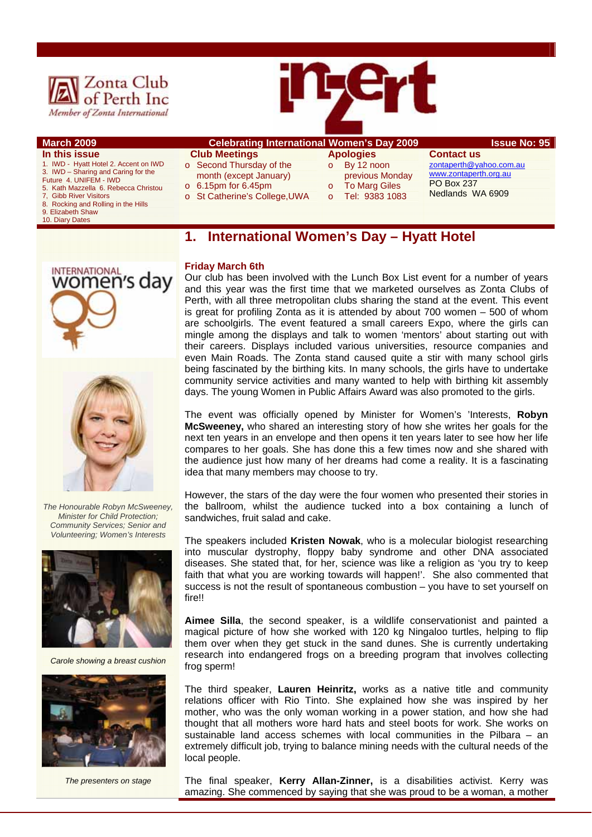



#### **March 2009 Celebrating International Women's Day 2009 The State No: 95 In this issue**  1. IWD - Hyatt Hotel 2. Accent on IWD 3. IWD – Sharing and Caring for the Future 4. UNIFEM - IWD  **Club Meetings** o Second Thursday of the month (except January) **Apologies**  o By 12 noon previous Monday **Contact us**

- 5. Kath Mazzella 6. Rebecca Christou
- **Gibb River Visitors**
- 8. Rocking and Rolling in the Hills
- 9. Elizabeth Shaw

**INTERNATIONAL** 

women's dav

10. Diary Dates

# o 6.15pm for 6.45pm

- o St Catherine's College,UWA
- **To Marg Giles** o Tel: 9383 1083

#### zontaperth@yahoo.com.au www.zontaperth.org.au PO Box 237 Nedlands WA 6909

## **1. International Women's Day – Hyatt Hotel**

#### **Friday March 6th**

Our club has been involved with the Lunch Box List event for a number of years and this year was the first time that we marketed ourselves as Zonta Clubs of Perth, with all three metropolitan clubs sharing the stand at the event. This event is great for profiling Zonta as it is attended by about 700 women – 500 of whom are schoolgirls. The event featured a small careers Expo, where the girls can mingle among the displays and talk to women 'mentors' about starting out with their careers. Displays included various universities, resource companies and even Main Roads. The Zonta stand caused quite a stir with many school girls being fascinated by the birthing kits. In many schools, the girls have to undertake community service activities and many wanted to help with birthing kit assembly days. The young Women in Public Affairs Award was also promoted to the girls.

The event was officially opened by Minister for Women's 'Interests, **Robyn McSweeney,** who shared an interesting story of how she writes her goals for the next ten years in an envelope and then opens it ten years later to see how her life compares to her goals. She has done this a few times now and she shared with the audience just how many of her dreams had come a reality. It is a fascinating idea that many members may choose to try.

However, the stars of the day were the four women who presented their stories in the ballroom, whilst the audience tucked into a box containing a lunch of sandwiches, fruit salad and cake.

The speakers included **Kristen Nowak**, who is a molecular biologist researching into muscular dystrophy, floppy baby syndrome and other DNA associated diseases. She stated that, for her, science was like a religion as 'you try to keep faith that what you are working towards will happen!'. She also commented that success is not the result of spontaneous combustion – you have to set yourself on fire!!

**Aimee Silla**, the second speaker, is a wildlife conservationist and painted a magical picture of how she worked with 120 kg Ningaloo turtles, helping to flip them over when they get stuck in the sand dunes. She is currently undertaking research into endangered frogs on a breeding program that involves collecting frog sperm!

The third speaker, **Lauren Heinritz,** works as a native title and community relations officer with Rio Tinto. She explained how she was inspired by her mother, who was the only woman working in a power station, and how she had thought that all mothers wore hard hats and steel boots for work. She works on sustainable land access schemes with local communities in the Pilbara – an extremely difficult job, trying to balance mining needs with the cultural needs of the local people.

The final speaker, **Kerry Allan-Zinner,** is a disabilities activist. Kerry was amazing. She commenced by saying that she was proud to be a woman, a mother



*Minister for Child Protection; Community Services; Senior and Volunteering; Women's Interests* 



*Carole showing a breast cushion* 



*The presenters on stage*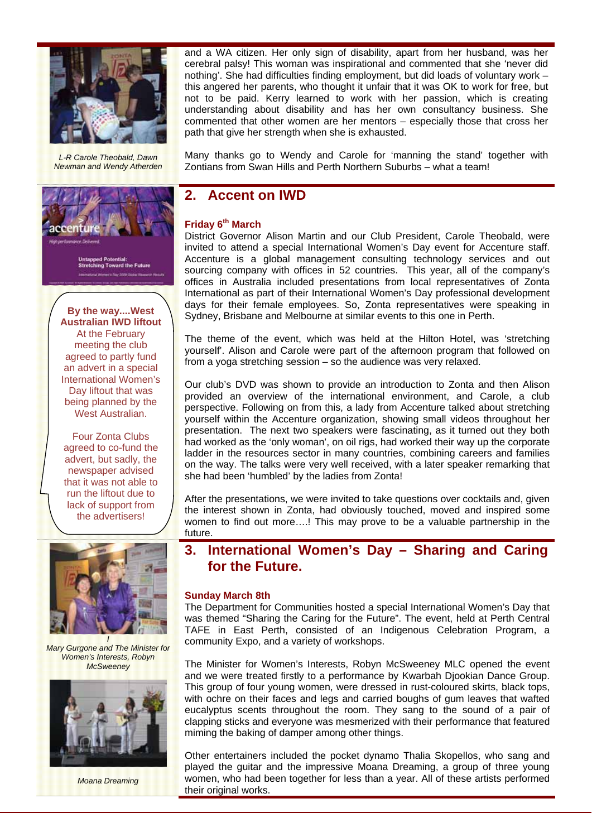

*L-R Carole Theobald, Dawn Newman and Wendy Atherden* 



**By the way....West Australian IWD liftout**  At the February meeting the club agreed to partly fund an advert in a special International Women's Day liftout that was being planned by the West Australian.

Four Zonta Clubs agreed to co-fund the advert, but sadly, the newspaper advised that it was not able to run the liftout due to lack of support from the advertisers!



*Mary Gurgone and The Minister for Women's Interests, Robyn McSweeney* 



*Moana Dreaming* 

and a WA citizen. Her only sign of disability, apart from her husband, was her cerebral palsy! This woman was inspirational and commented that she 'never did nothing'. She had difficulties finding employment, but did loads of voluntary work – this angered her parents, who thought it unfair that it was OK to work for free, but not to be paid. Kerry learned to work with her passion, which is creating understanding about disability and has her own consultancy business. She commented that other women are her mentors – especially those that cross her path that give her strength when she is exhausted.

Many thanks go to Wendy and Carole for 'manning the stand' together with Zontians from Swan Hills and Perth Northern Suburbs – what a team!

### **2. Accent on IWD**

#### **Friday 6th March**

District Governor Alison Martin and our Club President, Carole Theobald, were invited to attend a special International Women's Day event for Accenture staff. Accenture is a global management consulting technology services and out sourcing company with offices in 52 countries. This year, all of the company's offices in Australia included presentations from local representatives of Zonta International as part of their International Women's Day professional development days for their female employees. So, Zonta representatives were speaking in Sydney, Brisbane and Melbourne at similar events to this one in Perth.

The theme of the event, which was held at the Hilton Hotel, was 'stretching yourself'. Alison and Carole were part of the afternoon program that followed on from a yoga stretching session – so the audience was very relaxed.

Our club's DVD was shown to provide an introduction to Zonta and then Alison provided an overview of the international environment, and Carole, a club perspective. Following on from this, a lady from Accenture talked about stretching yourself within the Accenture organization, showing small videos throughout her presentation. The next two speakers were fascinating, as it turned out they both had worked as the 'only woman', on oil rigs, had worked their way up the corporate ladder in the resources sector in many countries, combining careers and families on the way. The talks were very well received, with a later speaker remarking that she had been 'humbled' by the ladies from Zonta!

After the presentations, we were invited to take questions over cocktails and, given the interest shown in Zonta, had obviously touched, moved and inspired some women to find out more….! This may prove to be a valuable partnership in the future.

#### **3. International Women's Day – Sharing and Caring for the Future.**

#### **Sunday March 8th**

The Department for Communities hosted a special International Women's Day that was themed "Sharing the Caring for the Future". The event, held at Perth Central TAFE in East Perth, consisted of an Indigenous Celebration Program, a community Expo, and a variety of workshops.

The Minister for Women's Interests, Robyn McSweeney MLC opened the event and we were treated firstly to a performance by Kwarbah Djookian Dance Group. This group of four young women, were dressed in rust-coloured skirts, black tops, with ochre on their faces and legs and carried boughs of gum leaves that wafted eucalyptus scents throughout the room. They sang to the sound of a pair of clapping sticks and everyone was mesmerized with their performance that featured miming the baking of damper among other things.

Other entertainers included the pocket dynamo Thalia Skopellos, who sang and played the guitar and the impressive Moana Dreaming, a group of three young women, who had been together for less than a year. All of these artists performed their original works.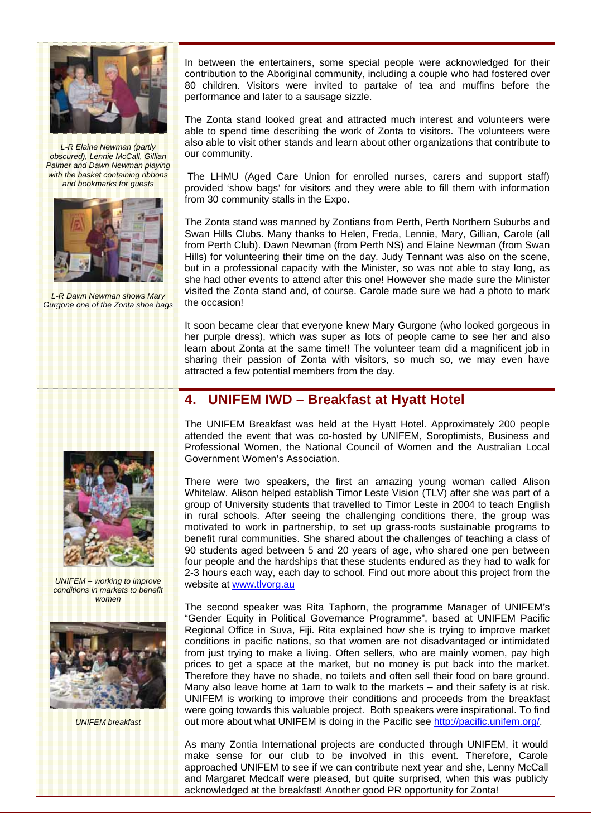

*L-R Elaine Newman (partly obscured), Lennie McCall, Gillian Palmer and Dawn Newman playing with the basket containing ribbons and bookmarks for guests* 



*L-R Dawn Newman shows Mary Gurgone one of the Zonta shoe bags* 



The Zonta stand looked great and attracted much interest and volunteers were able to spend time describing the work of Zonta to visitors. The volunteers were also able to visit other stands and learn about other organizations that contribute to our community.

 The LHMU (Aged Care Union for enrolled nurses, carers and support staff) provided 'show bags' for visitors and they were able to fill them with information from 30 community stalls in the Expo.

The Zonta stand was manned by Zontians from Perth, Perth Northern Suburbs and Swan Hills Clubs. Many thanks to Helen, Freda, Lennie, Mary, Gillian, Carole (all from Perth Club). Dawn Newman (from Perth NS) and Elaine Newman (from Swan Hills) for volunteering their time on the day. Judy Tennant was also on the scene, but in a professional capacity with the Minister, so was not able to stay long, as she had other events to attend after this one! However she made sure the Minister visited the Zonta stand and, of course. Carole made sure we had a photo to mark the occasion!

It soon became clear that everyone knew Mary Gurgone (who looked gorgeous in her purple dress), which was super as lots of people came to see her and also learn about Zonta at the same time!! The volunteer team did a magnificent job in sharing their passion of Zonta with visitors, so much so, we may even have attracted a few potential members from the day.

### **4. UNIFEM IWD – Breakfast at Hyatt Hotel**

The UNIFEM Breakfast was held at the Hyatt Hotel. Approximately 200 people attended the event that was co-hosted by UNIFEM, Soroptimists, Business and Professional Women, the National Council of Women and the Australian Local Government Women's Association.

There were two speakers, the first an amazing young woman called Alison Whitelaw. Alison helped establish Timor Leste Vision (TLV) after she was part of a group of University students that travelled to Timor Leste in 2004 to teach English in rural schools. After seeing the challenging conditions there, the group was motivated to work in partnership, to set up grass-roots sustainable programs to benefit rural communities. She shared about the challenges of teaching a class of 90 students aged between 5 and 20 years of age, who shared one pen between four people and the hardships that these students endured as they had to walk for 2-3 hours each way, each day to school. Find out more about this project from the website at www.tlvorg.au

The second speaker was Rita Taphorn, the programme Manager of UNIFEM's "Gender Equity in Political Governance Programme", based at UNIFEM Pacific Regional Office in Suva, Fiji. Rita explained how she is trying to improve market conditions in pacific nations, so that women are not disadvantaged or intimidated from just trying to make a living. Often sellers, who are mainly women, pay high prices to get a space at the market, but no money is put back into the market. Therefore they have no shade, no toilets and often sell their food on bare ground. Many also leave home at 1am to walk to the markets – and their safety is at risk. UNIFEM is working to improve their conditions and proceeds from the breakfast were going towards this valuable project. Both speakers were inspirational. To find out more about what UNIFEM is doing in the Pacific see http://pacific.unifem.org/.

As many Zontia International projects are conducted through UNIFEM, it would make sense for our club to be involved in this event. Therefore, Carole approached UNIFEM to see if we can contribute next year and she, Lenny McCall and Margaret Medcalf were pleased, but quite surprised, when this was publicly acknowledged at the breakfast! Another good PR opportunity for Zonta!



*UNIFEM – working to improve conditions in markets to benefit women* 



*UNIFEM breakfast*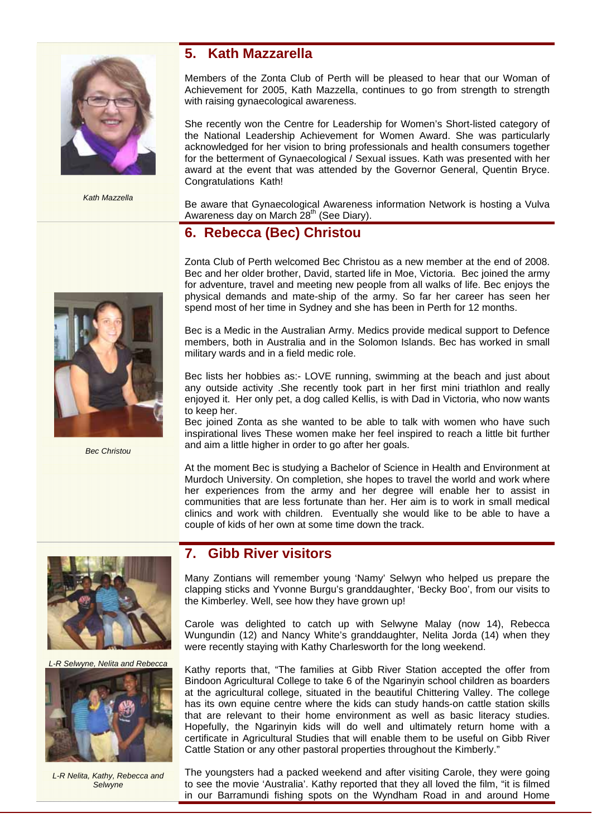

*Kath Mazzella* 

#### **5. Kath Mazzarella**

Members of the Zonta Club of Perth will be pleased to hear that our Woman of Achievement for 2005, Kath Mazzella, continues to go from strength to strength with raising gynaecological awareness.

She recently won the Centre for Leadership for Women's Short-listed category of the National Leadership Achievement for Women Award. She was particularly acknowledged for her vision to bring professionals and health consumers together for the betterment of Gynaecological / Sexual issues. Kath was presented with her award at the event that was attended by the Governor General, Quentin Bryce. Congratulations Kath!

Be aware that Gynaecological Awareness information Network is hosting a Vulva Awareness day on March 28<sup>th</sup> (See Diary).

# **6. Rebecca (Bec) Christou**

Zonta Club of Perth welcomed Bec Christou as a new member at the end of 2008. Bec and her older brother, David, started life in Moe, Victoria. Bec joined the army for adventure, travel and meeting new people from all walks of life. Bec enjoys the physical demands and mate-ship of the army. So far her career has seen her spend most of her time in Sydney and she has been in Perth for 12 months.

Bec is a Medic in the Australian Army. Medics provide medical support to Defence members, both in Australia and in the Solomon Islands. Bec has worked in small military wards and in a field medic role.

Bec lists her hobbies as:- LOVE running, swimming at the beach and just about any outside activity .She recently took part in her first mini triathlon and really enjoyed it. Her only pet, a dog called Kellis, is with Dad in Victoria, who now wants to keep her.

Bec joined Zonta as she wanted to be able to talk with women who have such inspirational lives These women make her feel inspired to reach a little bit further and aim a little higher in order to go after her goals.

At the moment Bec is studying a Bachelor of Science in Health and Environment at Murdoch University. On completion, she hopes to travel the world and work where her experiences from the army and her degree will enable her to assist in communities that are less fortunate than her. Her aim is to work in small medical clinics and work with children. Eventually she would like to be able to have a couple of kids of her own at some time down the track.

# **7. Gibb River visitors**

Many Zontians will remember young 'Namy' Selwyn who helped us prepare the clapping sticks and Yvonne Burgu's granddaughter, 'Becky Boo', from our visits to the Kimberley. Well, see how they have grown up!

Carole was delighted to catch up with Selwyne Malay (now 14), Rebecca Wungundin (12) and Nancy White's granddaughter, Nelita Jorda (14) when they were recently staying with Kathy Charlesworth for the long weekend.

Kathy reports that, "The families at Gibb River Station accepted the offer from Bindoon Agricultural College to take 6 of the Ngarinyin school children as boarders at the agricultural college, situated in the beautiful Chittering Valley. The college has its own equine centre where the kids can study hands-on cattle station skills that are relevant to their home environment as well as basic literacy studies. Hopefully, the Ngarinyin kids will do well and ultimately return home with a certificate in Agricultural Studies that will enable them to be useful on Gibb River Cattle Station or any other pastoral properties throughout the Kimberly."

The youngsters had a packed weekend and after visiting Carole, they were going to see the movie 'Australia'. Kathy reported that they all loved the film, "it is filmed in our Barramundi fishing spots on the Wyndham Road in and around Home



*Bec Christou* 



*L-R Selwyne, Nelita and Rebecca* 



*L-R Nelita, Kathy, Rebecca and Selwyne*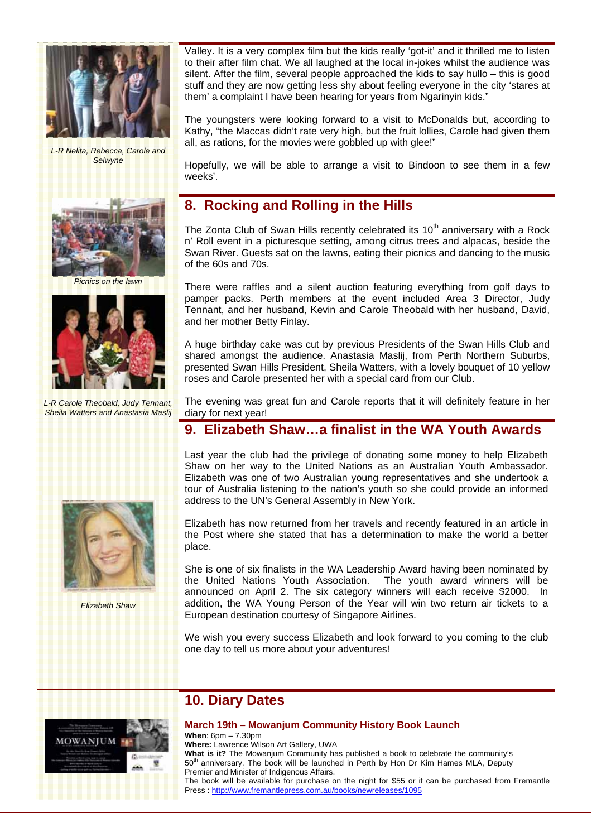

*L-R Nelita, Rebecca, Carole and Selwyne* 



*Picnics on the lawn* 



*L-R Carole Theobald, Judy Tennant,*  **Sheila Watters and Anastasia Maslig** 



*Elizabeth Shaw* 

Valley. It is a very complex film but the kids really 'got-it' and it thrilled me to listen to their after film chat. We all laughed at the local in-jokes whilst the audience was silent. After the film, several people approached the kids to say hullo – this is good stuff and they are now getting less shy about feeling everyone in the city 'stares at them' a complaint I have been hearing for years from Ngarinyin kids."

The youngsters were looking forward to a visit to McDonalds but, according to Kathy, "the Maccas didn't rate very high, but the fruit lollies, Carole had given them all, as rations, for the movies were gobbled up with glee!"

Hopefully, we will be able to arrange a visit to Bindoon to see them in a few weeks'.

# **8. Rocking and Rolling in the Hills**

The Zonta Club of Swan Hills recently celebrated its  $10<sup>th</sup>$  anniversary with a Rock n' Roll event in a picturesque setting, among citrus trees and alpacas, beside the Swan River. Guests sat on the lawns, eating their picnics and dancing to the music of the 60s and 70s.

There were raffles and a silent auction featuring everything from golf days to pamper packs. Perth members at the event included Area 3 Director, Judy Tennant, and her husband, Kevin and Carole Theobald with her husband, David, and her mother Betty Finlay.

A huge birthday cake was cut by previous Presidents of the Swan Hills Club and shared amongst the audience. Anastasia Maslij, from Perth Northern Suburbs, presented Swan Hills President, Sheila Watters, with a lovely bouquet of 10 yellow roses and Carole presented her with a special card from our Club.

The evening was great fun and Carole reports that it will definitely feature in her diary for next year!

# **9. Elizabeth Shaw…a finalist in the WA Youth Awards**

Last year the club had the privilege of donating some money to help Elizabeth Shaw on her way to the United Nations as an Australian Youth Ambassador. Elizabeth was one of two Australian young representatives and she undertook a tour of Australia listening to the nation's youth so she could provide an informed address to the UN's General Assembly in New York.

Elizabeth has now returned from her travels and recently featured in an article in the Post where she stated that has a determination to make the world a better place.

She is one of six finalists in the WA Leadership Award having been nominated by the United Nations Youth Association. The youth award winners will be announced on April 2. The six category winners will each receive \$2000. In addition, the WA Young Person of the Year will win two return air tickets to a European destination courtesy of Singapore Airlines.

We wish you every success Elizabeth and look forward to you coming to the club one day to tell us more about your adventures!



# **10. Diary Dates**

#### **March 19th – Mowanjum Community History Book Launch When**: 6pm – 7.30pm

**Where:** Lawrence Wilson Art Gallery, UWA **What is it?** The Mowanjum Community has published a book to celebrate the community's 50<sup>th</sup> anniversary. The book will be launched in Perth by Hon Dr Kim Hames MLA, Deputy Premier and Minister of Indigenous Affairs. The book will be available for purchase on the night for \$55 or it can be purchased from Fremantle Press : http://www.fremantlepress.com.au/books/newreleases/1095